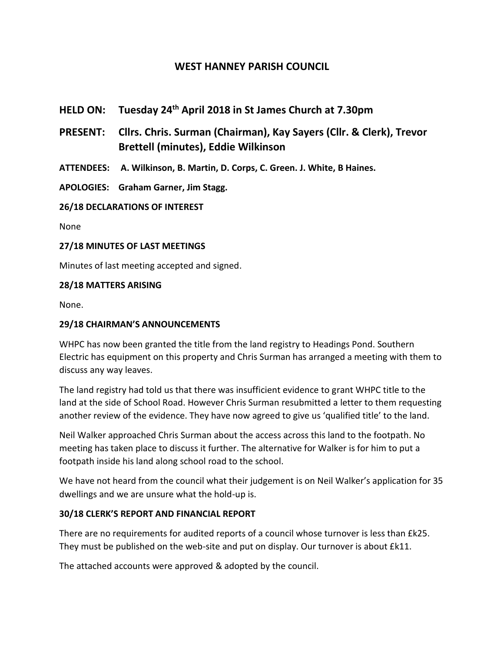# **WEST HANNEY PARISH COUNCIL**

- **HELD ON: Tuesday 24th April 2018 in St James Church at 7.30pm**
- **PRESENT: Cllrs. Chris. Surman (Chairman), Kay Sayers (Cllr. & Clerk), Trevor Brettell (minutes), Eddie Wilkinson**
- **ATTENDEES: A. Wilkinson, B. Martin, D. Corps, C. Green. J. White, B Haines.**
- **APOLOGIES: Graham Garner, Jim Stagg.**

**26/18 DECLARATIONS OF INTEREST**

None

#### **27/18 MINUTES OF LAST MEETINGS**

Minutes of last meeting accepted and signed.

#### **28/18 MATTERS ARISING**

None.

#### **29/18 CHAIRMAN'S ANNOUNCEMENTS**

WHPC has now been granted the title from the land registry to Headings Pond. Southern Electric has equipment on this property and Chris Surman has arranged a meeting with them to discuss any way leaves.

The land registry had told us that there was insufficient evidence to grant WHPC title to the land at the side of School Road. However Chris Surman resubmitted a letter to them requesting another review of the evidence. They have now agreed to give us 'qualified title' to the land.

Neil Walker approached Chris Surman about the access across this land to the footpath. No meeting has taken place to discuss it further. The alternative for Walker is for him to put a footpath inside his land along school road to the school.

We have not heard from the council what their judgement is on Neil Walker's application for 35 dwellings and we are unsure what the hold-up is.

#### **30/18 CLERK'S REPORT AND FINANCIAL REPORT**

There are no requirements for audited reports of a council whose turnover is less than £k25. They must be published on the web-site and put on display. Our turnover is about £k11.

The attached accounts were approved & adopted by the council.